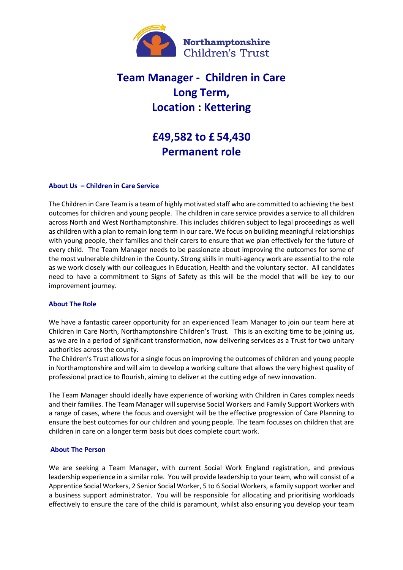

# **Team Manager - Children in Care Long Term, Location : Kettering**

## **£49,582 to £ 54,430 Permanent role**

#### **About Us – Children in Care Service**

The Children in Care Team is a team of highly motivated staff who are committed to achieving the best outcomes for children and young people. The children in care service provides a service to all children across North and West Northamptonshire. This includes children subject to legal proceedings as well as children with a plan to remain long term in our care. We focus on building meaningful relationships with young people, their families and their carers to ensure that we plan effectively for the future of every child. The Team Manager needs to be passionate about improving the outcomes for some of the most vulnerable children in the County. Strong skills in multi-agency work are essential to the role as we work closely with our colleagues in Education, Health and the voluntary sector. All candidates need to have a commitment to Signs of Safety as this will be the model that will be key to our improvement journey.

#### **About The Role**

We have a fantastic career opportunity for an experienced Team Manager to join our team here at Children in Care North, Northamptonshire Children's Trust. This is an exciting time to be joining us, as we are in a period of significant transformation, now delivering services as a Trust for two unitary authorities across the county.

The Children's Trust allows for a single focus on improving the outcomes of children and young people in Northamptonshire and will aim to develop a working culture that allows the very highest quality of professional practice to flourish, aiming to deliver at the cutting edge of new innovation.

The Team Manager should ideally have experience of working with Children in Cares complex needs and their families. The Team Manager will supervise Social Workers and Family Support Workers with a range of cases, where the focus and oversight will be the effective progression of Care Planning to ensure the best outcomes for our children and young people. The team focusses on children that are children in care on a longer term basis but does complete court work.

#### **About The Person**

We are seeking a Team Manager, with current Social Work England registration, and previous leadership experience in a similar role. You will provide leadership to your team, who will consist of a Apprentice Social Workers, 2 Senior Social Worker, 5 to 6 Social Workers, a family support worker and a business support administrator. You will be responsible for allocating and prioritising workloads effectively to ensure the care of the child is paramount, whilst also ensuring you develop your team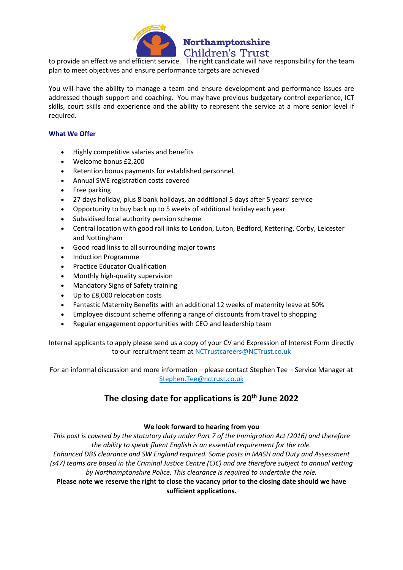

to provide an effective and efficient service. The right candidate will have responsibility for the team plan to meet objectives and ensure performance targets are achieved

You will have the ability to manage a team and ensure development and performance issues are addressed though support and coaching. You may have previous budgetary control experience, ICT skills, court skills and experience and the ability to represent the service at a more senior level if required.

#### **What We Offer**

- Highly competitive salaries and benefits
- Welcome bonus £2,200
- Retention bonus payments for established personnel
- Annual SWE registration costs covered
- Free parking
- 27 days holiday, plus 8 bank holidays, an additional 5 days after 5 years' service
- Opportunity to buy back up to 5 weeks of additional holiday each year
- Subsidised local authority pension scheme
- Central location with good rail links to London, Luton, Bedford, Kettering, Corby, Leicester and Nottingham
- Good road links to all surrounding major towns
- Induction Programme
- Practice Educator Qualification
- Monthly high-quality supervision
- Mandatory Signs of Safety training
- Up to £8,000 relocation costs
- Fantastic Maternity Benefits with an additional 12 weeks of maternity leave at 50%
- Employee discount scheme offering a range of discounts from travel to shopping
- Regular engagement opportunities with CEO and leadership team

Internal applicants to apply please send us a copy of your CV and Expression of Interest Form directly to our recruitment team a[t NCTrustcareers@NCTrust.co.uk](mailto:NCTrustcareers@NCTrust.co.uk)

For an informal discussion and more information – please contact Stephen Tee – Service Manager at [Stephen.Tee@nctrust.co.uk](mailto:Stephen.Tee@nctrust.co.uk)

### **The closing date for applications is 20th June 2022**

#### **We look forward to hearing from you**

*This post is covered by the statutory duty under Part 7 of the Immigration Act (2016) and therefore the ability to speak fluent English is an essential requirement for the role. Enhanced DBS clearance and SW England required. Some posts in MASH and Duty and Assessment (s47) teams are based in the Criminal Justice Centre (CJC) and are therefore subject to annual vetting by Northamptonshire Police. This clearance is required to undertake the role.* **Please note we reserve the right to close the vacancy prior to the closing date should we have** 

**sufficient applications.**